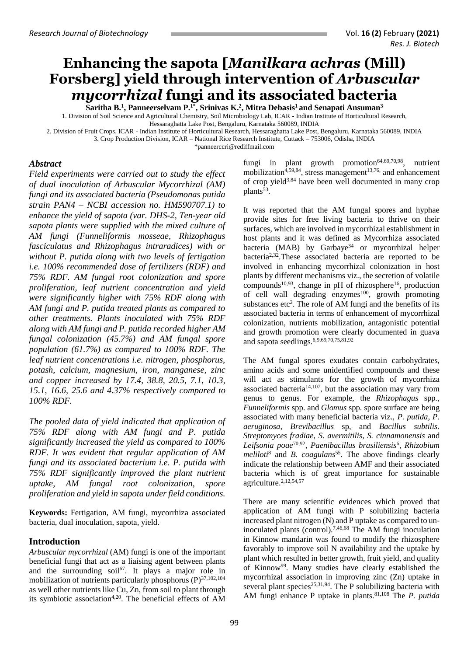# **Enhancing the sapota [***Manilkara achras* **(Mill) Forsberg] yield through intervention of** *Arbuscular mycorrhizal* **fungi and its associated bacteria**

**Saritha B.<sup>1</sup> , Panneerselvam P.1\*, Srinivas K.<sup>2</sup> , Mitra Debasis<sup>1</sup>and Senapati Ansuman<sup>3</sup>**

1. Division of Soil Science and Agricultural Chemistry, Soil Microbiology Lab, ICAR - Indian Institute of Horticultural Research, Hessaraghatta Lake Post, Bengaluru, Karnataka 560089, INDIA

2. Division of Fruit Crops, ICAR - Indian Institute of Horticultural Research, Hessaraghatta Lake Post, Bengaluru, Karnataka 560089, INDIA

3. Crop Production Division, ICAR – National Rice Research Institute, Cuttack – 753006, Odisha, INDIA [\\*panneerccri@rediffmail.com](mailto:panneerccri@rediffmail.com)

*Abstract*

*Field experiments were carried out to study the effect of dual inoculation of Arbuscular Mycorrhizal (AM) fungi and its associated bacteria (Pseudomonas putida strain PAN4 – NCBI accession no. HM590707.1) to enhance the yield of sapota (var. DHS-2, Ten-year old sapota plants were supplied with the mixed culture of AM fungi (Funneliformis mosseae, Rhizophagus fasciculatus and Rhizophagus intraradices) with or without P. putida along with two levels of fertigation i.e. 100% recommended dose of fertilizers (RDF) and 75% RDF. AM fungal root colonization and spore proliferation, leaf nutrient concentration and yield were significantly higher with 75% RDF along with AM fungi and P. putida treated plants as compared to other treatments. Plants inoculated with 75% RDF along with AM fungi and P. putida recorded higher AM fungal colonization (45.7%) and AM fungal spore population (61.7%) as compared to 100% RDF. The leaf nutrient concentrations i.e. nitrogen, phosphorus, potash, calcium, magnesium, iron, manganese, zinc and copper increased by 17.4, 38.8, 20.5, 7.1, 10.3, 15.1, 16.6, 25.6 and 4.37% respectively compared to 100% RDF.* 

*The pooled data of yield indicated that application of 75% RDF along with AM fungi and P. putida significantly increased the yield as compared to 100% RDF. It was evident that regular application of AM fungi and its associated bacterium i.e. P. putida with 75% RDF significantly improved the plant nutrient uptake, AM fungal root colonization, spore proliferation and yield in sapota under field conditions.* 

**Keywords:** Fertigation, AM fungi, mycorrhiza associated bacteria, dual inoculation, sapota, yield.

## **Introduction**

*Arbuscular mycorrhizal* (AM) fungi is one of the important beneficial fungi that act as a liaising agent between plants and the surrounding soil<sup>67</sup>. It plays a major role in mobilization of nutrients particularly phosphorus  $(P)^{37,102,104}$ as well other nutrients like Cu, Zn, from soil to plant through its symbiotic association<sup>4,20</sup>. The beneficial effects of AM fungi in plant growth promotion<sup>64,69,70,98</sup>, nutrient mobilization<sup>4,59,84</sup>, stress management<sup>13,76,</sup> and enhancement of crop yield3,84 have been well documented in many crop plants<sup>53</sup>.

It was reported that the AM fungal spores and hyphae provide sites for free living bacteria to thrive on their surfaces, which are involved in mycorrhizal establishment in host plants and it was defined as Mycorrhiza associated bacteria (MAB) by Garbaye<sup>34</sup> or mycorrhizal helper bacteria2,32.These associated bacteria are reported to be involved in enhancing mycorrhizal colonization in host plants by different mechanisms viz., the secretion of volatile compounds<sup>10,93</sup>, change in pH of rhizosphere<sup>16</sup>, production of cell wall degrading enzymes<sup>100</sup>, growth promoting substances  $etc<sup>2</sup>$ . The role of AM fungi and the benefits of its associated bacteria in terms of enhancement of mycorrhizal colonization, nutrients mobilization, antagonistic potential and growth promotion were clearly documented in guava and sapota seedlings. 6,9,69,70,75,81,92

The AM fungal spores exudates contain carbohydrates, amino acids and some unidentified compounds and these will act as stimulants for the growth of mycorrhiza associated bacteria<sup>14,107</sup>, but the association may vary from genus to genus. For example, the *Rhizophagus* spp*., Funneliformis* spp. and *Glomus* spp. spore surface are being associated with many beneficial bacteria viz., *P. putida, P. aeruginosa, Brevibacillus* sp, and *Bacillus subtilis. Streptomyces fradiae, S. avermitilis, S. cinnamonensis* and *Leifsonia poae*70,92 , *Paenibacillus brasiliensis*<sup>6</sup> *, Rhizobium meliloti*<sup>8</sup> and *B. coagulans*<sup>55</sup>. The above findings clearly indicate the relationship between AMF and their associated bacteria which is of great importance for sustainable agriculture. 2,12,54,57

There are many scientific evidences which proved that application of AM fungi with P solubilizing bacteria increased plant nitrogen (N) and P uptake as compared to uninoculated plants (control). 7,46,68 The AM fungi inoculation in Kinnow mandarin was found to modify the rhizosphere favorably to improve soil N availability and the uptake by plant which resulted in better growth, fruit yield, and quality of Kinnow<sup>99</sup>. Many studies have clearly established the mycorrhizal association in improving zinc (Zn) uptake in several plant species<sup>25,31,94</sup>. The P solubilizing bacteria with AM fungi enhance P uptake in plants. 81,108 The *P. putida*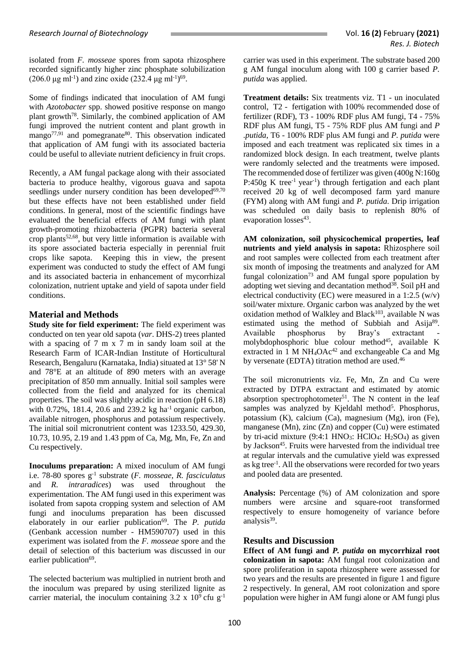isolated from *F. mosseae* spores from sapota rhizosphere recorded significantly higher zinc phosphate solubilization  $(206.0 \,\mu g \,\text{ml}^{-1})$  and zinc oxide  $(232.4 \,\mu g \,\text{ml}^{-1})^{69}$ .

Some of findings indicated that inoculation of AM fungi with *Azotobacter* spp. showed positive response on mango plant growth<sup>78</sup>. Similarly, the combined application of AM fungi improved the nutrient content and plant growth in  $m$ ango<sup>77,91</sup> and pomegranate<sup>80</sup>. This observation indicated that application of AM fungi with its associated bacteria could be useful to alleviate nutrient deficiency in fruit crops.

Recently, a AM fungal package along with their associated bacteria to produce healthy, vigorous guava and sapota seedlings under nursery condition has been developed<sup>69,70</sup> but these effects have not been established under field conditions. In general, most of the scientific findings have evaluated the beneficial effects of AM fungi with plant growth-promoting rhizobacteria (PGPR) bacteria several crop plants $52,68$ , but very little information is available with its spore associated bacteria especially in perennial fruit crops like sapota. Keeping this in view, the present experiment was conducted to study the effect of AM fungi and its associated bacteria in enhancement of mycorrhizal colonization, nutrient uptake and yield of sapota under field conditions.

## **Material and Methods**

**Study site for field experiment:** The field experiment was conducted on ten year old sapota (*var*. DHS-2) trees planted with a spacing of 7 m x 7 m in sandy loam soil at the Research Farm of ICAR-Indian Institute of Horticultural Research, Bengaluru (Karnataka, India) situated at 13° 58' N and 78°E at an altitude of 890 meters with an average precipitation of 850 mm annually. Initial soil samples were collected from the field and analyzed for its chemical properties. The soil was slightly acidic in reaction (pH 6.18) with 0.72%, 181.4, 20.6 and 239.2 kg ha<sup>-1</sup> organic carbon, available nitrogen, phosphorus and potassium respectively. The initial soil micronutrient content was 1233.50, 429.30, 10.73, 10.95, 2.19 and 1.43 ppm of Ca, Mg, Mn, Fe, Zn and Cu respectively.

**Inoculums preparation:** A mixed inoculum of AM fungi i.e. 78-80 spores g-1 substrate (*F. mosseae, R. fasciculatus* and *R. intraradices*) was used throughout the experimentation. The AM fungi used in this experiment was isolated from sapota cropping system and selection of AM fungi and inoculums preparation has been discussed elaborately in our earlier publication<sup>69</sup>. The *P. putida* (Genbank accession number - HM590707) used in this experiment was isolated from the *F. mosseae* spore and the detail of selection of this bacterium was discussed in our earlier publication<sup>69</sup>.

The selected bacterium was multiplied in nutrient broth and the inoculum was prepared by using sterilized lignite as carrier material, the inoculum containing  $3.2 \times 10^9$  cfu g<sup>-1</sup>

carrier was used in this experiment. The substrate based 200 g AM fungal inoculum along with 100 g carrier based *P. putida* was applied.

**Treatment details:** Six treatments viz. T1 - un inoculated control, T2 - fertigation with 100% recommended dose of fertilizer (RDF), T3 - 100% RDF plus AM fungi, T4 - 75% RDF plus AM fungi, T5 - 75% RDF plus AM fungi and *P .putida*, T6 - 100% RDF plus AM fungi and *P. putida* were imposed and each treatment was replicated six times in a randomized block design. In each treatment, twelve plants were randomly selected and the treatments were imposed. The recommended dose of fertilizer was given (400g N:160g P:450g K tree<sup>-1</sup> year<sup>-1</sup>) through fertigation and each plant received 20 kg of well decomposed farm yard manure (FYM) along with AM fungi and *P. putida*. Drip irrigation was scheduled on daily basis to replenish 80% of evaporation losses<sup>43</sup>.

**AM colonization, soil physicochemical properties, leaf nutrients and yield analysis in sapota:** Rhizosphere soil and root samples were collected from each treatment after six month of imposing the treatments and analyzed for AM fungal colonization<sup>73</sup> and AM fungal spore population by adopting wet sieving and decantation method<sup>38</sup>. Soil pH and electrical conductivity (EC) were measured in a 1:2.5  $(w/v)$ soil/water mixture. Organic carbon was analyzed by the wet oxidation method of Walkley and Black<sup>103</sup>, available N was estimated using the method of Subbiah and Asija<sup>89</sup>. Available phosphorus by Bray's extractant molybdophosphoric blue colour method<sup>45</sup>, available K extracted in 1 M  $NH_4OAc^{42}$  and exchangeable Ca and Mg by versenate (EDTA) titration method are used.<sup>46</sup>

The soil micronutrients viz. Fe, Mn, Zn and Cu were extracted by DTPA extractant and estimated by atomic absorption spectrophotometer<sup>51</sup>. The N content in the leaf samples was analyzed by Kjeldahl method<sup>5</sup>. Phosphorus, potassium (K), calcium (Ca), magnesium (Mg), iron (Fe), manganese (Mn), zinc (Zn) and copper (Cu) were estimated by tri-acid mixture  $(9:4:1 \text{ HNO}_3: \text{HClO}_4: \text{H}_2\text{SO}_4)$  as given by Jackson<sup>45</sup>. Fruits were harvested from the individual tree at regular intervals and the cumulative yield was expressed as kg tree-1 . All the observations were recorded for two years and pooled data are presented.

**Analysis:** Percentage (%) of AM colonization and spore numbers were arcsine and square-root transformed respectively to ensure homogeneity of variance before analysis<sup>39</sup>.

### **Results and Discussion**

**Effect of AM fungi and** *P. putida* **on mycorrhizal root colonization in sapota:** AM fungal root colonization and spore proliferation in sapota rhizosphere were assessed for two years and the results are presented in figure 1 and figure 2 respectively. In general, AM root colonization and spore population were higher in AM fungi alone or AM fungi plus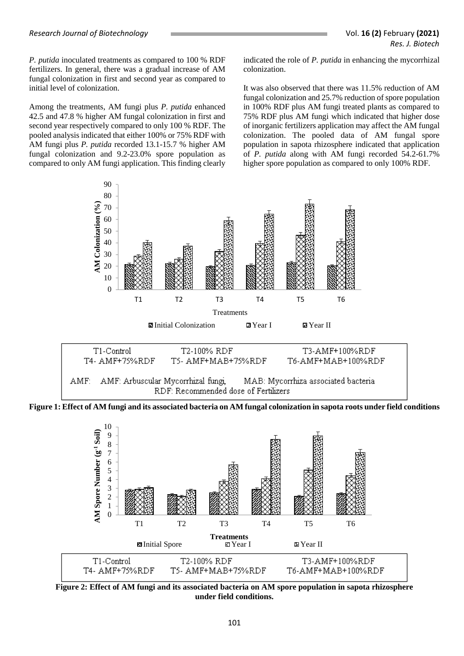*P. putida* inoculated treatments as compared to 100 % RDF fertilizers. In general, there was a gradual increase of AM fungal colonization in first and second year as compared to initial level of colonization.

Among the treatments, AM fungi plus *P. putida* enhanced 42.5 and 47.8 % higher AM fungal colonization in first and second year respectively compared to only 100 % RDF. The pooled analysis indicated that either 100% or 75% RDF with AM fungi plus *P. putida* recorded 13.1-15.7 % higher AM fungal colonization and 9.2-23.0% spore population as compared to only AM fungi application. This finding clearly indicated the role of *P. putida* in enhancing the mycorrhizal colonization.

It was also observed that there was 11.5% reduction of AM fungal colonization and 25.7% reduction of spore population in 100% RDF plus AM fungi treated plants as compared to 75% RDF plus AM fungi which indicated that higher dose of inorganic fertilizers application may affect the AM fungal colonization. The pooled data of AM fungal spore population in sapota rhizosphere indicated that application of *P. putida* along with AM fungi recorded 54.2-61.7% higher spore population as compared to only 100% RDF.



**Figure 1: Effect of AM fungi and its associated bacteria on AM fungal colonization in sapota roots under field conditions**



**Figure 2: Effect of AM fungi and its associated bacteria on AM spore population in sapota rhizosphere under field conditions.**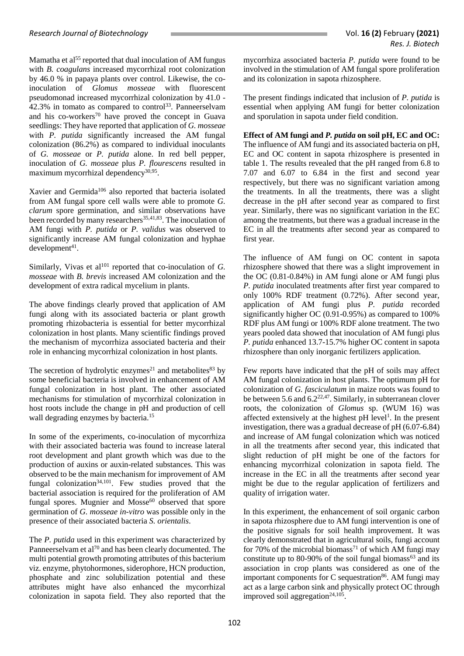Mamatha et al<sup>55</sup> reported that dual inoculation of AM fungus with *B. coagulans* increased mycorrhizal root colonization by 46.0 % in papaya plants over control. Likewise, the coinoculation of *Glomus mosseae* with fluorescent pseudomonad increased mycorrhizal colonization by 41.0 - 42.3% in tomato as compared to control<sup>33</sup>. Panneerselvam and his co-workers<sup>70</sup> have proved the concept in Guava seedlings: They have reported that application of *G. mosseae* with *P. putida* significantly increased the AM fungal colonization (86.2%) as compared to individual inoculants of *G. mosseae* or *P. putida* alone. In red bell pepper, inoculation of *G. mosseae* plus *P. flourescens* resulted in maximum mycorrhizal dependency<sup>30,95</sup>.

Xavier and Germida<sup>106</sup> also reported that bacteria isolated from AM fungal spore cell walls were able to promote *G. clarum* spore germination, and similar observations have been recorded by many researchers<sup>35,41,83</sup>. The inoculation of AM fungi with *P. putida* or *P. validus* was observed to significantly increase AM fungal colonization and hyphae  $d$ evelopment<sup>41</sup>.

Similarly, Vivas et al<sup>101</sup> reported that co-inoculation of *G*. *mosseae* with *B. brevis* increased AM colonization and the development of extra radical mycelium in plants.

The above findings clearly proved that application of AM fungi along with its associated bacteria or plant growth promoting rhizobacteria is essential for better mycorrhizal colonization in host plants. Many scientific findings proved the mechanism of mycorrhiza associated bacteria and their role in enhancing mycorrhizal colonization in host plants.

The secretion of hydrolytic enzymes<sup>21</sup> and metabolites<sup>83</sup> by some beneficial bacteria is involved in enhancement of AM fungal colonization in host plant. The other associated mechanisms for stimulation of mycorrhizal colonization in host roots include the change in pH and production of cell wall degrading enzymes by bacteria. 15

In some of the experiments, co-inoculation of mycorrhiza with their associated bacteria was found to increase lateral root development and plant growth which was due to the production of auxins or auxin-related substances. This was observed to be the main mechanism for improvement of AM fungal colonization<sup>34,101</sup>. Few studies proved that the bacterial association is required for the proliferation of AM fungal spores. Mugnier and  $Mosse<sup>60</sup>$  observed that spore germination of *G. mosseae in-vitro* was possible only in the presence of their associated bacteria *S. orientalis*.

The *P. putida* used in this experiment was characterized by Panneerselvam et al<sup>70</sup> and has been clearly documented. The multi potential growth promoting attributes of this bacterium viz. enzyme, phytohormones, siderophore, HCN production, phosphate and zinc solubilization potential and these attributes might have also enhanced the mycorrhizal colonization in sapota field. They also reported that the mycorrhiza associated bacteria *P. putida* were found to be involved in the stimulation of AM fungal spore proliferation and its colonization in sapota rhizosphere.

The present findings indicated that inclusion of *P. putida* is essential when applying AM fungi for better colonization and sporulation in sapota under field condition.

**Effect of AM fungi and** *P. putida* **on soil pH, EC and OC:** The influence of AM fungi and its associated bacteria on pH, EC and OC content in sapota rhizosphere is presented in table 1. The results revealed that the pH ranged from 6.8 to 7.07 and 6.07 to 6.84 in the first and second year respectively, but there was no significant variation among the treatments. In all the treatments, there was a slight decrease in the pH after second year as compared to first year. Similarly, there was no significant variation in the EC among the treatments, but there was a gradual increase in the EC in all the treatments after second year as compared to first year.

The influence of AM fungi on OC content in sapota rhizosphere showed that there was a slight improvement in the OC (0.81-0.84%) in AM fungi alone or AM fungi plus *P. putida* inoculated treatments after first year compared to only 100% RDF treatment (0.72%). After second year, application of AM fungi plus *P. putida* recorded significantly higher OC (0.91-0.95%) as compared to 100% RDF plus AM fungi or 100% RDF alone treatment. The two years pooled data showed that inoculation of AM fungi plus *P. putida* enhanced 13.7-15.7% higher OC content in sapota rhizosphere than only inorganic fertilizers application.

Few reports have indicated that the pH of soils may affect AM fungal colonization in host plants. The optimum pH for colonization of *G. fasciculatum* in maize roots was found to be between 5.6 and  $6.2^{22,47}$ . Similarly, in subterranean clover roots, the colonization of *Glomus* sp. (WUM 16) was affected extensively at the highest pH level<sup>1</sup>. In the present investigation, there was a gradual decrease of pH (6.07-6.84) and increase of AM fungal colonization which was noticed in all the treatments after second year, this indicated that slight reduction of pH might be one of the factors for enhancing mycorrhizal colonization in sapota field. The increase in the EC in all the treatments after second year might be due to the regular application of fertilizers and quality of irrigation water.

In this experiment, the enhancement of soil organic carbon in sapota rhizosphere due to AM fungi intervention is one of the positive signals for soil health improvement. It was clearly demonstrated that in agricultural soils, fungi account for 70% of the microbial biomass<sup>71</sup> of which AM fungi may constitute up to 80-90% of the soil fungal biomass<sup>63</sup> and its association in crop plants was considered as one of the important components for  $C$  sequestration<sup>86</sup>. AM fungi may act as a large carbon sink and physically protect OC through improved soil aggregation<sup>24,105</sup>.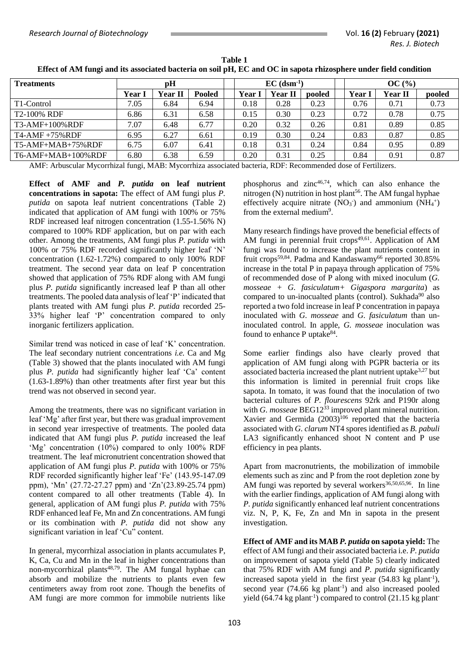| <b>Treatments</b>        | pH     |                |               | $EC$ (dsm <sup>-1</sup> ) |                |        |  | OC(%) |                |        |  |
|--------------------------|--------|----------------|---------------|---------------------------|----------------|--------|--|-------|----------------|--------|--|
|                          | Year I | <b>Year II</b> | <b>Pooled</b> | Year l                    | <b>Year II</b> | pooled |  | Year  | <b>Year II</b> | pooled |  |
| T1-Control               | 7.05   | 6.84           | 6.94          | 0.18                      | 0.28           | 0.23   |  | 0.76  | 0.71           | 0.73   |  |
| T <sub>2</sub> -100% RDF | 6.86   | 6.31           | 6.58          | 0.15                      | 0.30           | 0.23   |  | 0.72  | 0.78           | 0.75   |  |
| $T3-AMF+100\%RDF$        | 7.07   | 6.48           | 6.77          | 0.20                      | 0.32           | 0.26   |  | 0.81  | 0.89           | 0.85   |  |
| $T4$ -AMF +75% RDF       | 6.95   | 6.27           | 6.61          | 0.19                      | 0.30           | 0.24   |  | 0.83  | 0.87           | 0.85   |  |
| $T5-AMF+MAB+75%RDF$      | 6.75   | 6.07           | 6.41          | 0.18                      | 0.31           | 0.24   |  | 0.84  | 0.95           | 0.89   |  |
| T6-AMF+MAB+100%RDF       | 6.80   | 6.38           | 6.59          | 0.20                      | 0.31           | 0.25   |  | 0.84  | 0.91           | 0.87   |  |

**Table 1 Effect of AM fungi and its associated bacteria on soil pH, EC and OC in sapota rhizosphere under field condition**

AMF: Arbuscular Mycorrhizal fungi, MAB: Mycorrhiza associated bacteria, RDF: Recommended dose of Fertilizers.

**Effect of AMF and** *P. putida* **on leaf nutrient concentrations in sapota:** The effect of AM fungi plus *P. putida* on sapota leaf nutrient concentrations (Table 2) indicated that application of AM fungi with 100% or 75% RDF increased leaf nitrogen concentration (1.55-1.56% N) compared to 100% RDF application, but on par with each other. Among the treatments, AM fungi plus *P. putida* with 100% or 75% RDF recorded significantly higher leaf 'N' concentration (1.62-1.72%) compared to only 100% RDF treatment. The second year data on leaf P concentration showed that application of 75% RDF along with AM fungi plus *P. putida* significantly increased leaf P than all other treatments. The pooled data analysis of leaf 'P' indicated that plants treated with AM fungi plus *P. putida* recorded 25- 33% higher leaf 'P' concentration compared to only inorganic fertilizers application.

Similar trend was noticed in case of leaf 'K' concentration. The leaf secondary nutrient concentrations *i.e.* Ca and Mg (Table 3) showed that the plants inoculated with AM fungi plus *P. putida* had significantly higher leaf 'Ca' content (1.63-1.89%) than other treatments after first year but this trend was not observed in second year.

Among the treatments, there was no significant variation in leaf 'Mg' after first year, but there was gradual improvement in second year irrespective of treatments. The pooled data indicated that AM fungi plus *P. putida* increased the leaf 'Mg' concentration (10%) compared to only 100% RDF treatment. The leaf micronutrient concentration showed that application of AM fungi plus *P. putida* with 100% or 75% RDF recorded significantly higher leaf 'Fe' (143.95-147.09 ppm), 'Mn' (27.72-27.27 ppm) and 'Zn'(23.89-25.74 ppm) content compared to all other treatments (Table 4). In general, application of AM fungi plus *P. putida* with 75% RDF enhanced leaf Fe, Mn and Zn concentrations. AM fungi or its combination with *P. putida* did not show any significant variation in leaf 'Cu" content.

In general, mycorrhizal association in plants accumulates P, K, Ca, Cu and Mn in the leaf in higher concentrations than non-mycorrhizal plants<sup>48,79</sup>. The AM fungal hyphae can absorb and mobilize the nutrients to plants even few centimeters away from root zone. Though the benefits of AM fungi are more common for immobile nutrients like

phosphorus and zinc $46,74$ , which can also enhance the nitrogen  $(N)$  nutrition in host plant<sup>56</sup>. The AM fungal hyphae effectively acquire nitrate  $(NO<sub>3</sub>)$  and ammonium  $(NH<sub>4</sub><sup>+</sup>)$ from the external medium<sup>9</sup>.

Many research findings have proved the beneficial effects of AM fungi in perennial fruit crops<sup>49,61</sup>. Application of AM fungi was found to increase the plant nutrients content in fruit crops<sup>59,84</sup>. Padma and Kandaswamy<sup>66</sup> reported 30.85% increase in the total P in papaya through application of 75% of recommended dose of P along with mixed inoculum (*G. mosseae + G. fasiculatum+ Gigaspora margarita*) as compared to un-inocualted plants (control). Sukhada<sup>90</sup> also reported a two fold increase in leaf P concentration in papaya inoculated with *G. mosseae* and *G. fasiculatum* than uninoculated control. In apple, *G. mosseae* inoculation was found to enhance P uptake<sup>84</sup>.

Some earlier findings also have clearly proved that application of AM fungi along with PGPR bacteria or its associated bacteria increased the plant nutrient uptake 3,27 but this information is limited in perennial fruit crops like sapota. In tomato, it was found that the inoculation of two bacterial cultures of *P. flourescens* 92rk and P190r along with *G. mosseae* BEG12<sup>33</sup> improved plant mineral nutrition. Xavier and Germida  $(2003)^{106}$  reported that the bacteria associated with *G. clarum* NT4 spores identified as *B. pabuli* LA3 significantly enhanced shoot N content and P use efficiency in pea plants.

Apart from macronutrients, the mobilization of immobile elements such as zinc and P from the root depletion zone by AM fungi was reported by several workers<sup>36,50,65,96</sup>. In line with the earlier findings, application of AM fungi along with *P. putida* significantly enhanced leaf nutrient concentrations viz. N, P, K, Fe, Zn and Mn in sapota in the present investigation.

**Effect of AMF and its MAB** *P. putida* **on sapota yield:** The effect of AM fungi and their associated bacteria i.e. *P. putida* on improvement of sapota yield (Table 5) clearly indicated that 75% RDF with AM fungi and *P. putida* significantly increased sapota yield in the first year  $(54.83 \text{ kg plant}^{-1})$ , second year  $(74.66 \text{ kg plant}^{-1})$  and also increased pooled yield  $(64.74 \text{ kg plant}^{-1})$  compared to control  $(21.15 \text{ kg plant}^{-1})$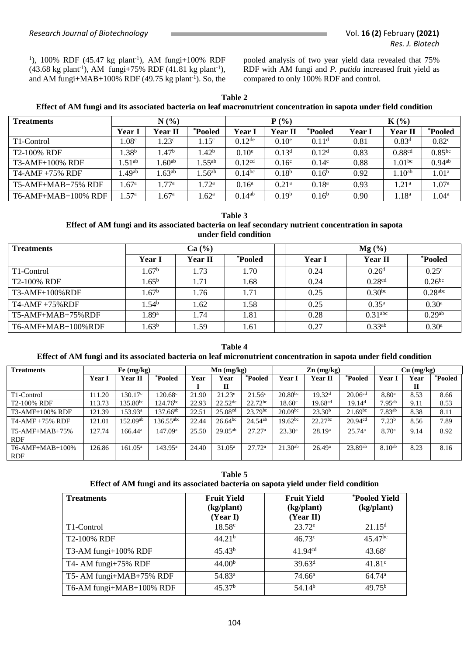<sup>1</sup>), 100% RDF (45.47 kg plant<sup>-1</sup>), AM fungi+100% RDF  $(43.68 \text{ kg plant}^{-1})$ , AM fungi+75% RDF  $(41.81 \text{ kg plant}^{-1})$ , and AM fungi+MAB+100% RDF  $(49.75 \text{ kg plant}^{-1})$ . So, the pooled analysis of two year yield data revealed that 75% RDF with AM fungi and *P. putida* increased fruit yield as compared to only 100% RDF and control.

**Table 2 Effect of AM fungi and its associated bacteria on leaf macronutrient concentration in sapota under field condition**

| <b>Treatments</b>       | N(%)              |                   |                   |                      | $P(\%)$           |                   | $K(\%)$       |                    |                      |  |
|-------------------------|-------------------|-------------------|-------------------|----------------------|-------------------|-------------------|---------------|--------------------|----------------------|--|
|                         | Year 1            | Year II           | <i>*Pooled</i>    | Year I               | Year II           | <i>*Pooled</i>    | <b>Year I</b> | <b>Year II</b>     | <i>*Pooled</i>       |  |
| T <sub>1</sub> -Control | 1.08 <sup>c</sup> | 1.23 <sup>c</sup> | 1.15 <sup>c</sup> | $0.12$ <sup>de</sup> | 0.10 <sup>e</sup> | 0.11 <sup>d</sup> | 0.81          | 0.83 <sup>d</sup>  | 0.82 <sup>c</sup>    |  |
| T2-100% RDF             | $1.38^{b}$        | $1.47^{\rm b}$    | 1.42 <sup>b</sup> | 0.10 <sup>e</sup>    | 0.13 <sup>d</sup> | 0.12 <sup>d</sup> | 0.83          | 0.88 <sup>cd</sup> | $0.85^{bc}$          |  |
| T3-AMF+100% RDF         | .51 <sup>ab</sup> | $1.60^{ab}$       | $.55^{ab}$        | 0.12 <sup>cd</sup>   | 0.16 <sup>c</sup> | 0.14 <sup>c</sup> | 0.88          | 1.01 <sup>bc</sup> | $0.94$ <sup>ab</sup> |  |
| $T4-AMF + 75\% RDF$     | .49 <sup>ab</sup> | $1.63^{ab}$       | .56 <sup>ab</sup> | $0.14^{bc}$          | $0.18^{b}$        | $0.16^{\rm b}$    | 0.92          | 1.10 <sup>ab</sup> | 1.01 <sup>a</sup>    |  |
| $T5-AMF+MAB+75\%$ RDF   | 1.67 <sup>a</sup> | 1.77 <sup>a</sup> | 1.72 <sup>a</sup> | 0.16 <sup>a</sup>    | 0.21 <sup>a</sup> | 0.18 <sup>a</sup> | 0.93          | .21 <sup>a</sup>   | 1.07 <sup>a</sup>    |  |
| T6-AMF+MAB+100% RDF     | .57 <sup>a</sup>  | .67 <sup>a</sup>  | $1.62^{\rm a}$    | $0.14^{ab}$          | 0.19 <sup>b</sup> | $0.16^b$          | 0.90          | $1.18^{a}$         | 1.04 <sup>a</sup>    |  |

#### **Table 3 Effect of AM fungi and its associated bacteria on leaf secondary nutrient concentration in sapota under field condition**

| <b>Treatments</b>          |                   | Ca (%)  |                | $Mg(\%)$      |                       |                       |  |  |  |
|----------------------------|-------------------|---------|----------------|---------------|-----------------------|-----------------------|--|--|--|
|                            | Year I            | Year II | <i>*Pooled</i> | <b>Year I</b> | <b>Year II</b>        | *Pooled               |  |  |  |
| T1-Control                 | .67 <sup>b</sup>  | 1.73    | 1.70           | 0.24          | 0.26 <sup>d</sup>     | 0.25 <sup>c</sup>     |  |  |  |
| T2-100% RDF                | $1.65^{\rm b}$    | 1.71    | 1.68           | 0.24          | 0.28 <sup>cd</sup>    | $0.26^{bc}$           |  |  |  |
| T3-AMF+100%RDF             | .67 <sup>b</sup>  | 1.76    | 1.71           | 0.25          | $0.30^{bc}$           | $0.28$ <sup>abc</sup> |  |  |  |
| $T4-AMF+75\%RDF$           | 1.54 <sup>b</sup> | 1.62    | 1.58           | 0.25          | $0.35^{\rm a}$        | 0.30 <sup>a</sup>     |  |  |  |
| $T5-AMF+MAB+75%RDF$        | .89 <sup>a</sup>  | 1.74    | 1.81           | 0.28          | $0.31$ <sup>abc</sup> | 0.29 <sup>ab</sup>    |  |  |  |
| $T6$ -AMF+MAB+ $100\%$ RDF | 1.63 <sup>b</sup> | .59     | 1.61           | 0.27          | $0.33^{ab}$           | 0.30 <sup>a</sup>     |  |  |  |

**Table 4 Effect of AM fungi and its associated bacteria on leaf micronutrient concentration in sapota under field condition**

| <b>Treatments</b>      | Fe (mg/kg) |                     |                     | $Mn$ (mg/kg) |                     |                    |                    | $\mathbf{Zn}$ (mg/kg) |                     | $Cu$ (mg/kg)      |              |         |
|------------------------|------------|---------------------|---------------------|--------------|---------------------|--------------------|--------------------|-----------------------|---------------------|-------------------|--------------|---------|
|                        | Year 1     | <b>Year II</b>      | *Pooled             | Year         | Year                | *Pooled            | Year l             | Year II               | *Pooled             | Year              | Year         | *Pooled |
|                        |            |                     |                     |              | П                   |                    |                    |                       |                     |                   | $\mathbf{H}$ |         |
| T1-Control             | 111.20     | 130.17 <sup>c</sup> | $120.68^{\circ}$    | 21.90        | $21.23^e$           | $21.56^{\circ}$    | $20.80^{bc}$       | 19.32 <sup>d</sup>    | 20.06 <sup>cd</sup> | 8.80 <sup>a</sup> | 8.53         | 8.66    |
| T2-100% RDF            | 113.73     | $135.80^{bc}$       | $124.76^{bc}$       | 22.93        | $22.52^{\text{de}}$ | $22.72^{bc}$       | 18.60 <sup>c</sup> | 19.68 <sup>cd</sup>   | 19.14 <sup>d</sup>  | $7.95^{ab}$       | 9.11         | 8.53    |
| T3-AMF+100% RDF        | 121.39     | $153.93^{\rm a}$    | $137.66^{ab}$       | 22.51        | 25.08 <sup>cd</sup> | $23.79^{bc}$       | $20.09^{bc}$       | 23.30 <sup>b</sup>    | $21.69^{bc}$        | $7.83^{ab}$       | 8.38         | 8.11    |
| T4-AMF +75% RDF        | 121.01     | $152.09^{ab}$       | $136.55^{\rm abc}$  | 22.44        | $26.64^{bc}$        | $24.54^{ab}$       | $19.62^{bc}$       | 22.27 <sup>bc</sup>   | 20.94 <sup>cd</sup> | 7.23 <sup>b</sup> | 8.56         | 7.89    |
| $T5-AMF+MAB+75%$       | 127.74     | $166.44^{\rm a}$    | 147.09 <sup>a</sup> | 25.50        | $29.05^{ab}$        | 27.27 <sup>a</sup> | $23.30^a$          | 28.19 <sup>a</sup>    | 25.74 <sup>a</sup>  | 8.70 <sup>a</sup> | 9.14         | 8.92    |
| <b>RDF</b>             |            |                     |                     |              |                     |                    |                    |                       |                     |                   |              |         |
| $T6$ -AMF+MAB+ $100\%$ | 126.86     | $161.05^{\rm a}$    | $143.95^{\rm a}$    | 24.40        | $31.05^{\rm a}$     | 27.72 <sup>a</sup> | $21.30^{ab}$       | 26.49 <sup>a</sup>    | $23.89^{ab}$        | $8.10^{ab}$       | 8.23         | 8.16    |
| <b>RDF</b>             |            |                     |                     |              |                     |                    |                    |                       |                     |                   |              |         |

**Table 5 Effect of AM fungi and its associated bacteria on sapota yield under field condition**

| <b>Treatments</b>        | <b>Fruit Yield</b><br>(kg/plant)<br>(Year I) | <b>Fruit Yield</b><br>(kg/plant)<br>(Year II) | <i>*Pooled Yield</i><br>(kg/plant) |
|--------------------------|----------------------------------------------|-----------------------------------------------|------------------------------------|
| T <sub>1</sub> -Control  | $18.58^{\circ}$                              | $23.72^e$                                     | $21.15^{\rm d}$                    |
| T2-100% RDF              | 44.21 <sup>b</sup>                           | 46.73c                                        | 45.47 <sup>bc</sup>                |
| T3-AM fungi+100% RDF     | 45.43 <sup>b</sup>                           | 41.94 <sup>cd</sup>                           | $43.68^{\circ}$                    |
| T4- AM fungi+75% RDF     | 44.00 <sup>b</sup>                           | $39.63^d$                                     | 41.81 <sup>c</sup>                 |
| T5- AM fungi+MAB+75% RDF | 54.83 <sup>a</sup>                           | $74.66^{\circ}$                               | 64.74 <sup>a</sup>                 |
| T6-AM fungi+MAB+100% RDF | 45.37 <sup>b</sup>                           | 54.14 <sup>b</sup>                            | 49.75 <sup>b</sup>                 |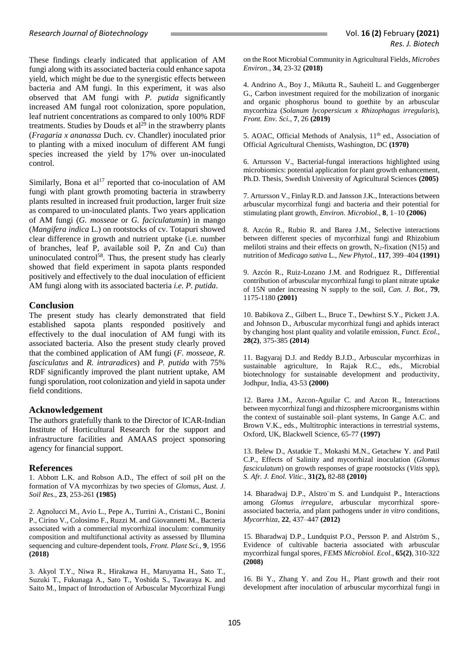These findings clearly indicated that application of AM fungi along with its associated bacteria could enhance sapota yield, which might be due to the synergistic effects between bacteria and AM fungi. In this experiment, it was also observed that AM fungi with *P. putida* significantly increased AM fungal root colonization, spore population, leaf nutrient concentrations as compared to only 100% RDF treatments. Studies by Douds et  $al<sup>29</sup>$  in the strawberry plants (*Fragaria x ananassa* Duch. cv. Chandler) inoculated prior to planting with a mixed inoculum of different AM fungi species increased the yield by 17% over un-inoculated control.

Similarly, Bona et al<sup>17</sup> reported that co-inoculation of AM fungi with plant growth promoting bacteria in strawberry plants resulted in increased fruit production, larger fruit size as compared to un-inoculated plants. Two years application of AM fungi (*G. mosseae* or *G. faciculatumin*) in mango (*Mangifera indica* L.) on rootstocks of cv. Totapuri showed clear difference in growth and nutrient uptake (i.e. number of branches, leaf P, available soil P, Zn and Cu) than uninoculated control<sup>58</sup>. Thus, the present study has clearly showed that field experiment in sapota plants responded positively and effectively to the dual inoculation of efficient AM fungi along with its associated bacteria *i.e. P. putida*.

## **Conclusion**

The present study has clearly demonstrated that field established sapota plants responded positively and effectively to the dual inoculation of AM fungi with its associated bacteria. Also the present study clearly proved that the combined application of AM fungi (*F. mosseae*, *R. fasciculatus* and *R. intraradices*) and *P. putida* with 75% RDF significantly improved the plant nutrient uptake, AM fungi sporulation, root colonization and yield in sapota under field conditions.

## **Acknowledgement**

The authors gratefully thank to the Director of ICAR-Indian Institute of Horticultural Research for the support and infrastructure facilities and AMAAS project sponsoring agency for financial support.

## **References**

1. Abbott L.K. and Robson A.D., The effect of soil pH on the formation of VA mycorrhizas by two species of *Glomus*, *Aust. J. Soil Res.,* **23**, 253-261 **(1985)**

2. Agnolucci M., Avio L., Pepe A., Turrini A., Cristani C., Bonini P., Cirino V., Colosimo F., Ruzzi M. and Giovannetti M., Bacteria associated with a commercial mycorrhizal inoculum: community composition and multifunctional activity as assessed by Illumina sequencing and culture-dependent tools, *Front. Plant Sci.,* **9**, 1956 **(2018)**

3. Akyol T.Y., Niwa R., Hirakawa H., Maruyama H., Sato T., Suzuki T., Fukunaga A., Sato T., Yoshida S., Tawaraya K. and Saito M., Impact of Introduction of Arbuscular Mycorrhizal Fungi

on the Root Microbial Community in Agricultural Fields, *Microbes Environ.*, **34**, 23-32 **(2018)**

4. Andrino A., Boy J., Mikutta R., Sauheitl L. and Guggenberger G., Carbon investment required for the mobilization of inorganic and organic phosphorus bound to goethite by an arbuscular mycorrhiza (*Solanum lycopersicum x Rhizophagus irregularis*), *Front. Env. Sci.,* **7**, 26 **(2019)**

5. AOAC, Official Methods of Analysis, 11<sup>th</sup> ed., Association of Official Agricultural Chemists, Washington, DC **(1970)**

6. Artursson V., Bacterial-fungal interactions highlighted using microbiomics: potential application for plant growth enhancement, Ph.D. Thesis, Swedish University of Agricultural Sciences **(2005)**

7. Artursson V., Finlay R.D. and Jansson J.K., Interactions between arbuscular mycorrhizal fungi and bacteria and their potential for stimulating plant growth, *Environ. Microbiol.,* **8**, 1–10 **(2006)**

8. Azcón R., Rubio R. and Barea J.M., Selective interactions between different species of mycorrhizal fungi and Rhizobium meliloti strains and their effects on growth,  $N_2$ -fixation (N15) and nutrition of *Medicago sativa* L., *New Phytol.,* **117**, 399–404 **(1991)**

9. Azcón R., Ruiz-Lozano J.M. and Rodriguez R., Differential contribution of arbuscular mycorrhizal fungi to plant nitrate uptake of 15N under increasing N supply to the soil, *Can. J. Bot.,* **79**, 1175-1180 **(2001)**

10. Babikova Z., Gilbert L., Bruce T., Dewhirst S.Y., Pickett J.A. and Johnson D., Arbuscular mycorrhizal fungi and aphids interact by changing host plant quality and volatile emission, *Funct. Ecol.,* **28(2)**, 375-385 **(2014)**

11. Bagyaraj D.J. and Reddy B.J.D., Arbuscular mycorrhizas in sustainable agriculture, In Rajak R.C., eds., Microbial biotechnology for sustainable development and productivity, Jodhpur, India, 43-53 **(2000)**

12. Barea J.M., Azcon-Aguilar C. and Azcon R., Interactions between mycorrhizal fungi and rhizosphere microorganisms within the context of sustainable soil–plant systems, In Gange A.C. and Brown V.K., eds., Multitrophic interactions in terrestrial systems, Oxford, UK, Blackwell Science, 65-77 **(1997)**

13. Belew D., Astatkie T., Mokashi M.N., Getachew Y. and Patil C.P., Effects of Salinity and mycorrhizal inoculation (*Glomus fasciculatum*) on growth responses of grape rootstocks (*Vitis* spp), *S. Afr. J. Enol. Vitic.,* **31(2),** 82-88 **(2010)**

14. Bharadwaj D.P., Alstro¨m S. and Lundquist P., Interactions among *Glomus irregulare*, arbuscular mycorrhizal sporeassociated bacteria, and plant pathogens under *in vitro* conditions, *Mycorrhiza*, **22**, 437–447 **(2012)**

15. Bharadwaj D.P., Lundquist P.O., Persson P. and Alström S., Evidence of cultivable bacteria associated with arbuscular mycorrhizal fungal spores, *FEMS Microbiol. Ecol.,* **65(2)**, 310-322 **(2008)**

16. Bi Y., Zhang Y. and Zou H., Plant growth and their root development after inoculation of arbuscular mycorrhizal fungi in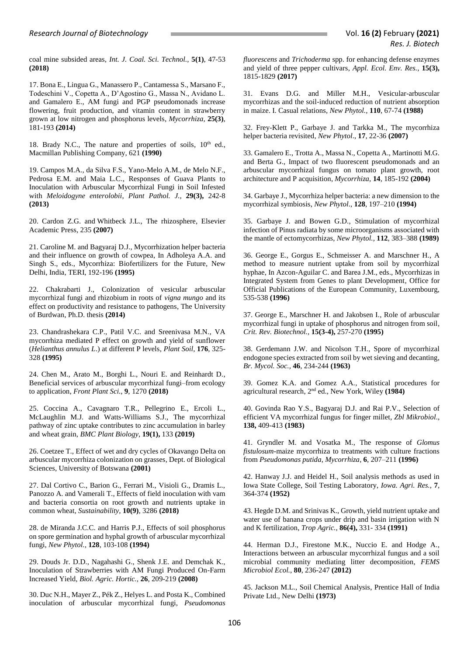coal mine subsided areas, *Int. J. Coal. Sci. Technol.,* **5(1)**, 47-53 **(2018)**

17. Bona E., Lingua G., Manassero P., Cantamessa S., Marsano F., Todeschini V., Copetta A., D'Agostino G., Massa N., Avidano L. and Gamalero E., AM fungi and PGP pseudomonads increase flowering, fruit production, and vitamin content in strawberry grown at low nitrogen and phosphorus levels, *Mycorrhiza,* **25(3)**, 181-193 **(2014)**

18. Brady N.C., The nature and properties of soils,  $10<sup>th</sup>$  ed., Macmillan Publishing Company, 621 **(1990)**

19. Campos M.A., da Silva F.S., Yano-Melo A.M., de Melo N.F., Pedrosa E.M. and Maia L.C., [Responses of Guava Plants to](http://www.ncbi.nlm.nih.gov/pubmed/25288951)  [Inoculation with Arbuscular Mycorrhizal Fungi in Soil Infested](http://www.ncbi.nlm.nih.gov/pubmed/25288951)  with *[Meloidogyne enterolobii](http://www.ncbi.nlm.nih.gov/pubmed/25288951)*, *Plant Pathol. J.,* **29(3),** 242-8 **(2013)**

20. Cardon Z.G. and Whitbeck J.L., The rhizosphere, Elsevier Academic Press, 235 **(2007)**

21. Caroline M. and Bagyaraj D.J., Mycorrhization helper bacteria and their influence on growth of cowpea, In Adholeya A.A. and Singh S., eds., Mycorrhiza: Biofertilizers for the Future, New Delhi, India, TERI, 192-196 **(1995)**

22. Chakrabarti J., Colonization of vesicular arbuscular mycorrhizal fungi and rhizobium in roots of *vigna mungo* and its effect on productivity and resistance to pathogens, The University of Burdwan, Ph.D. thesis **(2014)**

23. Chandrashekara C.P., Patil V.C. and Sreenivasa M.N., VA mycorrhiza mediated P effect on growth and yield of sunflower (*Helianthus annulus L*.) at different P levels, *Plant Soil*, **176**, 325- 328 **(1995)**

24. Chen M., Arato M., Borghi L., Nouri E. and Reinhardt D., Beneficial services of arbuscular mycorrhizal fungi–from ecology to application, *Front Plant Sci.,* **9**, 1270 **(2018)**

25. Coccina A., Cavagnaro T.R., Pellegrino E., Ercoli L., McLaughlin M.J. and Watts-Williams S.J., The mycorrhizal pathway of zinc uptake contributes to zinc accumulation in barley and wheat grain, *BMC Plant Biology*, **19(1),** 133 **(2019)**

26. Coetzee T., Effect of wet and dry cycles of Okavango Delta on arbuscular mycorrhiza colonization on grasses, Dept. of Biological Sciences, University of Botswana **(2001)**

27. Dal Cortivo C., Barion G., Ferrari M., Visioli G., Dramis L., Panozzo A. and Vamerali T., Effects of field inoculation with vam and bacteria consortia on root growth and nutrients uptake in common wheat, *Sustainability,* **10(9)**, 3286 **(2018)**

28. de Miranda J.C.C. and Harris P.J., Effects of soil phosphorus on spore germination and hyphal growth of arbuscular mycorrhizal fungi, *New Phytol.,* **128**, 103-108 **(1994)**

29. Douds Jr. D.D., Nagahashi G., Shenk J.E. and Demchak K., Inoculation of Strawberries with AM Fungi Produced On-Farm Increased Yield, *Biol. Agric. Hortic.,* **26**, 209-219 **(2008)**

30. Duc N.H., Mayer Z., Pék Z., Helyes L. and Posta K., Combined inoculation of arbuscular mycorrhizal fungi, *Pseudomonas* 

*fluorescens* and *Trichoderma* spp. for enhancing defense enzymes and yield of three pepper cultivars, *Appl. Ecol. Env. Res.,* **15(3),** 1815-1829 **(2017)**

31. Evans D.G. and Miller M.H., Vesicular-arbuscular mycorrhizas and the soil-induced reduction of nutrient absorption in maize. I. Casual relations, *New Phytol.,* **110**, 67-74 **(1988)**

32. Frey-Klett P., Garbaye J. and Tarkka M., The mycorrhiza helper bacteria revisited, *New Phytol*., **17**, 22-36 **(2007)**

33. Gamalero E., Trotta A., Massa N., Copetta A., Martinotti M.G. and Berta G., Impact of two fluorescent pseudomonads and an arbuscular mycorrhizal fungus on tomato plant growth, root architecture and P acquisition, *Mycorrhiza,* **14**, 185-192 **(2004)**

34. Garbaye J., Mycorrhiza helper bacteria: a new dimension to the mycorrhizal symbiosis, *New Phytol*., **128**, 197–210 **(1994)**

35. Garbaye J. and Bowen G.D., Stimulation of mycorrhizal infection of Pinus radiata by some microorganisms associated with the mantle of ectomycorrhizas, *New Phytol.,* **112**, 383–388 **(1989)**

36. George E., Gorgus E., Schmeisser A. and Marschner H., A method to measure nutrient uptake from soil by mycorrhizal hyphae, In Azcon-Aguilar C. and Barea J.M., eds., Mycorrhizas in Integrated System from Genes to plant Development, Office for Official Publications of the European Community, Luxembourg, 535-538 **(1996)**

37. George E., Marschner H. and Jakobsen I., Role of arbuscular mycorrhizal fungi in uptake of phosphorus and nitrogen from soil, *Crit. Rev. Biotechnol.,* **15(3-4),** 257-270 **(1995)**

38. Gerdemann J.W. and Nicolson T.H., Spore of mycorrhizal endogone species extracted from soil by wet sieving and decanting, *Br. Mycol. Soc.,* **46**, 234-244 **(1963)**

39. Gomez K.A. and Gomez A.A., Statistical procedures for agricultural research, 2<sup>nd</sup> ed., New York, Wiley (1984)

40. Govinda Rao Y.S., Bagyaraj D.J. and Rai P.V., Selection of efficient VA mycorrhizal fungus for finger millet, *Zbl Mikrobiol*., **138,** 409-413 **(1983)**

41. Gryndler M. and Vosatka M., The response of *Glomus fistulosum*-maize mycorrhiza to treatments with culture fractions from *Pseudomonas putida*, *Mycorrhiza*, **6**, 207–211 **(1996)**

42. Hanway J.J. and Heidel H., Soil analysis methods as used in Iowa State College, Soil Testing Laboratory, *Iowa. Agri. Res.,* **7**, 364-374 **(1952)**

43. Hegde D.M. and Srinivas K., Growth, yield nutrient uptake and water use of banana crops under drip and basin irrigation with N and K fertilization, *Trop Agric.,* **86(4),** 331- 334 **(1991)**

44. Herman D.J., Firestone M.K., Nuccio E. and Hodge A., Interactions between an arbuscular mycorrhizal fungus and a soil microbial community mediating litter decomposition, *FEMS Microbiol Ecol.,* **80**, 236-247 **(2012)**

45. Jackson M.L., Soil Chemical Analysis, Prentice Hall of India Private Ltd., New Delhi **(1973)**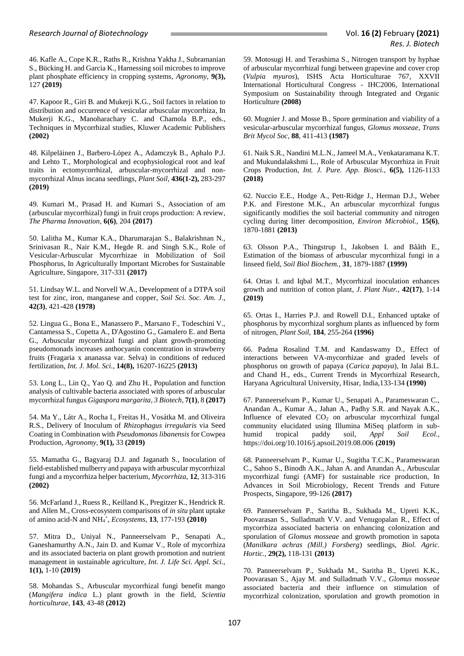46. Kafle A., Cope K.R., Raths R., Krishna Yakha J., Subramanian S., Bücking H. and Garcia K., Harnessing soil microbes to improve plant phosphate efficiency in cropping systems, *Agronomy,* **9(3),** 127 **(2019)**

47. Kapoor R., Giri B. and Mukerji K.G., Soil factors in relation to distribution and occurrence of vesicular arbuscular mycorrhiza, In Mukerji K.G., Manoharachary C. and Chamola B.P., eds., Techniques in Mycorrhizal studies, Kluwer Academic Publishers **(2002)**

48. Kilpeläinen J., Barbero-López A., Adamczyk B., Aphalo P.J. and Lehto T., Morphological and ecophysiological root and leaf traits in ectomycorrhizal, arbuscular-mycorrhizal and nonmycorrhizal Alnus incana seedlings, *Plant Soil*, **436(1-2),** 283-297 **(2019)**

49. Kumari M., Prasad H. and Kumari S., Association of am (arbuscular mycorrhizal) fungi in fruit crops production: A review, *The Pharma Innovation*, **6(6)**, 204 **(2017)**

50. Lalitha M., Kumar K.A., Dharumarajan S., Balakrishnan N., Srinivasan R., Nair K.M., Hegde R. and Singh S.K., Role of Vesicular-Arbuscular Mycorrhizae in Mobilization of Soil Phosphorus, In Agriculturally Important Microbes for Sustainable Agriculture, Singapore, 317-331 **(2017)**

51. Lindsay W.L. and Norvell W.A., Development of a DTPA soil test for zinc, iron, manganese and copper, *Soil Sci. Soc. Am. J*., **42(3)**, 421-428 **(1978)**

52. Lingua G., Bona E., Manassero P., Marsano F., Todeschini V., Cantamessa S., Copetta A., D'Agostino G., Gamalero E. and Berta G., Arbuscular mycorrhizal fungi and plant growth-promoting pseudomonads increases anthocyanin concentration in strawberry fruits (Fragaria x ananassa var. Selva) in conditions of reduced fertilization, *Int. J. Mol. Sci.,* **14(8),** 16207-16225 **(2013)**

53. Long L., Lin Q., Yao Q. and Zhu H., Population and function analysis of cultivable bacteria associated with spores of arbuscular mycorrhizal fungus *Gigaspora margarita*, *3 Biotech*, **7(1)**, 8 **(2017)**

54. Ma Y., Látr A., Rocha I., Freitas H., Vosátka M. and Oliveira R.S., Delivery of Inoculum of *Rhizophagus irregularis* via Seed Coating in Combination with *Pseudomonas libanensis* for Cowpea Production, *Agronomy,* **9(1),** 33 **(2019)**

55. Mamatha G., Bagyaraj D.J. and Jaganath S., Inoculation of field-established mulberry and papaya with arbuscular mycorrhizal fungi and a mycorrhiza helper bacterium, *Mycorrhiza,* **12**, 313-316 **(2002)**

56. McFarland J., Ruess R., Keilland K., Pregitzer K., Hendrick R. and Allen M., Cross-ecosystem comparisons of *in situ* plant uptake of amino acid-N and NH<sup>4</sup> + , *Ecosystems,* **13**, 177-193 **(2010)**

57. Mitra D., Uniyal N., Panneerselvam P., Senapati A., Ganeshamurthy A.N., Jain D. and Kumar V., Role of mycorrhiza and its associated bacteria on plant growth promotion and nutrient management in sustainable agriculture, *Int. J. Life Sci. Appl. Sci.,* **1(1),** 1-10 **(2019)**

58. Mohandas S., Arbuscular mycorrhizal fungi benefit mango (*Mangifera indica* L.) plant growth in the field, *Scientia horticulturae*, **143**, 43-48 **(2012)**

59. Motosugi H. and Terashima S., Nitrogen transport by hyphae of arbuscular mycorrhizal fungi between grapevine and cover crop (*Vulpia myuros*), ISHS Acta Horticulturae 767, [XXVII](http://www.actahort.org/books/767/index.htm)  [International Horticultural Congress -](http://www.actahort.org/books/767/index.htm) IHC2006, International [Symposium on Sustainability through Integrated and Organic](http://www.actahort.org/books/767/index.htm)  [Horticulture](http://www.actahort.org/books/767/index.htm) **(2008)**

60. Mugnier J. and Mosse B., Spore germination and viability of a vesicular-arbuscular mycorrhizal fungus, *Glomus mosseae*, *Trans Brit Mycol Soc*, **88**, 411-413 **(1987)**

61. Naik S.R., Nandini M.L.N., Jameel M.A., Venkataramana K.T. and Mukundalakshmi L., Role of Arbuscular Mycorrhiza in Fruit Crops Production, *Int. J. Pure. App. Biosci.,* **6(5),** 1126-1133 **(2018)**

62. Nuccio E.E., Hodge A., Pett‐Ridge J., Herman D.J., Weber P.K. and Firestone M.K., An arbuscular mycorrhizal fungus significantly modifies the soil bacterial community and nitrogen cycling during litter decomposition, *Environ Microbiol.,* **15(6)**, 1870-1881 **(2013)**

63. Olsson P.A., Thingstrup I., Jakobsen I. and Bååth E., Estimation of the biomass of arbuscular mycorrhizal fungi in a linseed field, *Soil Biol Biochem.,* **31**, 1879-1887 **(1999)**

64. Ortas I. and Iqbal M.T., Mycorrhizal inoculation enhances growth and nutrition of cotton plant, *J. Plant Nutr.,* **42(17)**, 1-14 **(2019)**

65. Ortas I., Harries P.J. and Rowell D.I., Enhanced uptake of phosphorus by mycorrhizal sorghum plants as influenced by form of nitrogen, *Plant Soil,* **184**, 255-264 **(1996)**

66. Padma Rosalind T.M. and Kandaswamy D., Effect of interactions between VA-mycorrhizae and graded levels of phosphorus on growth of papaya (*Carica papaya*), In Jalai B.L. and Chand H., eds., Current Trends in Mycorrhizal Research, Haryana Agricultural University, Hisar, India,133-134 **(1990)**

67. Panneerselvam P., Kumar U., Senapati A., Parameswaran C., Anandan A., Kumar A., Jahan A., Padhy S.R. and Nayak A.K., Influence of elevated  $CO<sub>2</sub>$  on arbuscular mycorrhizal fungal community elucidated using Illumina MiSeq platform in subhumid tropical paddy soil, *Appl Soil Ecol*., https://doi.org/10.1016/j.apsoil.2019.08.006 **(2019)**

68. Panneerselvam P., Kumar U., Sugitha T.C.K., Parameswaran C., Sahoo S., Binodh A.K., Jahan A. and Anandan A., Arbuscular mycorrhizal fungi (AMF) for sustainable rice production, In Advances in Soil Microbiology, Recent Trends and Future Prospects, Singapore, 99-126 **(2017)**

69. Panneerselvam P., Saritha B., Sukhada M., Upreti K.K., Poovarasan S., Sulladmath V.V. and Venugopalan R., Effect of mycorrhiza associated bacteria on enhancing colonization and sporulation of *Glomus mosseae* and growth promotion in sapota (*Manilkara achras (Mill.) Forsberg*) seedlings, *Biol. Agric. Hortic.,* **29(2),** 118-131 **(2013)**

70. Panneerselvam P., Sukhada M., Saritha B., Upreti K.K., Poovarasan S., Ajay M. and Sulladmath V.V., *Glomus mosseae* associated bacteria and their influence on stimulation of mycorrhizal colonization, sporulation and growth promotion in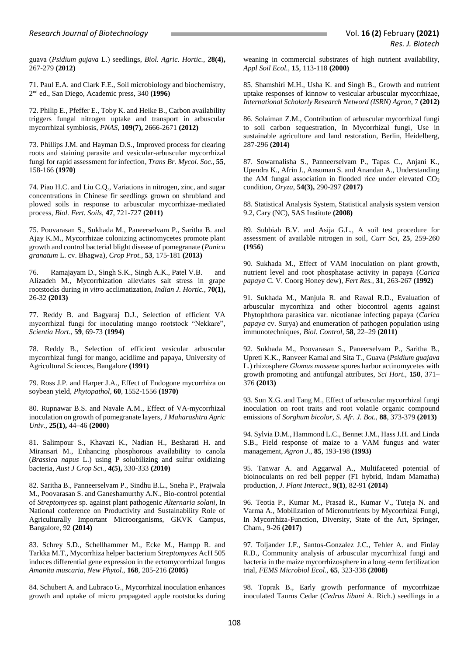guava (*Psidium gujava* L.) seedlings, *Biol. Agric. Hortic.,* **28(4),** 267-279 **(2012)**

71. Paul E.A. and Clark F.E., Soil microbiology and biochemistry, 2 nd ed., San Diego, Academic press, 340 **(1996)**

72. Philip E., Pfeffer E., Toby K. and Heike B., Carbon availability triggers fungal nitrogen uptake and transport in arbuscular mycorrhizal symbiosis, *PNAS*, **109(7),** 2666-2671 **(2012)**

73. Phillips J.M. and Hayman D.S., Improved process for clearing roots and staining parasite and vesicular-arbuscular mycorrhizal fungi for rapid assessment for infection, *Trans Br. Mycol. Soc.,* **55**, 158-166 **(1970)**

74. Piao H.C. and Liu C.Q., Variations in nitrogen, zinc, and sugar concentrations in Chinese fir seedlings grown on shrubland and plowed soils in response to arbuscular mycorrhizae-mediated process, *Biol. Fert. Soils,* **47**, 721-727 **(2011)**

75. Poovarasan S., Sukhada M., Paneerselvam P., Saritha B. and Ajay K.M., Mycorrhizae colonizing actinomycetes promote plant growth and control bacterial blight disease of pomegranate (*Punica granatum* L. cv. Bhagwa), *Crop Prot.,* **53**, 175-181 **(2013)**

76. Ramajayam D., Singh S.K., Singh A.K., Patel V.B. and Alizadeh M., Mycorrhization alleviates salt stress in grape rootstocks during *in vitro* acclimatization, *Indian J. Hortic.,* **70(1),** 26-32 **(2013)**

77. Reddy B. and Bagyaraj D.J., Selection of efficient VA mycorrhizal fungi for inoculating mango rootstock "Nekkare", *Scientia Hort*., **59**, 69-73 **(1994)**

78. Reddy B., Selection of efficient vesicular arbuscular mycorrhizal fungi for mango, acidlime and papaya, University of Agricultural Sciences, Bangalore **(1991)**

79. Ross J.P. and Harper J.A., Effect of Endogone mycorrhiza on soybean yield, *Phytopathol*, **60**, 1552-1556 **(1970)**

80. Rupnawar B.S. and Navale A.M., Effect of VA-mycorrhizal inoculation on growth of pomegranate layers, *J Maharashtra Agric Univ.,* **25(1),** 44–46 **(2000)**

81. Salimpour S., Khavazi K., Nadian H., Besharati H. and Miransari M., Enhancing phosphorous availability to canola (*Brassica napus* L.) using P solubilizing and sulfur oxidizing bacteria, *Aust J Crop Sci.*, **4(5),** 330-333 **(2010)**

82. Saritha B., Panneerselvam P., Sindhu B.L., Sneha P., Prajwala M., Poovarasan S. and Ganeshamurthy A.N., Bio-control potential of *Streptomyces* sp. against plant pathogenic *Alternaria solani*, In National conference on Productivity and Sustainability Role of Agriculturally Important Microorganisms, GKVK Campus, Bangalore, 92 **(2014)**

83. Schrey S.D., Schellhammer M., Ecke M., Hampp R. and Tarkka M.T., Mycorrhiza helper bacterium *Streptomyces* AcH 505 induces differential gene expression in the ectomycorrhizal fungus *Amanita muscaria*, *New Phytol.,* **168**, 205-216 **(2005)**

84. Schubert A. and Lubraco G., Mycorrhizal inoculation enhances growth and uptake of micro propagated apple rootstocks during

weaning in commercial substrates of high nutrient availability, *Appl Soil Ecol.,* **15**, 113-118 **(2000)**

85. Shamshiri M.H., Usha K. and Singh B., Growth and nutrient uptake responses of kinnow to vesicular arbuscular mycorrhizae, *International Scholarly Research Netword (ISRN) Agron*, 7 **(2012)**

86. Solaiman Z.M., Contribution of arbuscular mycorrhizal fungi to soil carbon sequestration, In Mycorrhizal fungi, Use in sustainable agriculture and land restoration, Berlin, Heidelberg, 287-296 **(2014)**

87. Sowarnalisha S., Panneerselvam P., Tapas C., Anjani K., Upendra K., Afrin J., Ansuman S. and Anandan A., Understanding the AM fungal association in flooded rice under elevated  $CO<sub>2</sub>$ condition, *Oryza*, **54(3),** 290-297 **(2017)**

88. Statistical Analysis System, Statistical analysis system version 9.2, Cary (NC), SAS Institute **(2008)**

89. Subbiah B.V. and Asija G.L., A soil test procedure for assessment of available nitrogen in soil, *Curr Sci*, **25**, 259-260 **(1956)**

90. Sukhada M., Effect of VAM inoculation on plant growth, nutrient level and root phosphatase activity in papaya (*Carica papaya* C. V. Coorg Honey dew), *Fert Res.,* **31**, 263-267 **(1992)**

91. Sukhada M., Manjula R. and Rawal R.D., Evaluation of arbuscular mycorrhiza and other biocontrol agents against Phytophthora parasitica var. nicotianae infecting papaya (*Carica papaya* cv. Surya) and enumeration of pathogen population using immunotechniques, *Biol. Control,* **58**, 22–29 **(2011)**

92. Sukhada M., Poovarasan S., Paneerselvam P., Saritha B., Upreti K.K., Ranveer Kamal and Sita T., Guava (*Psidium guajava* L.) rhizosphere *Glomus mosseae* spores harbor actinomycetes with growth promoting and antifungal attributes, *Sci Hort.,* **150**, 371– 376 **(2013)**

93. Sun X.G. and Tang M., Effect of arbuscular mycorrhizal fungi inoculation on root traits and root volatile organic compound emissions of *Sorghum bicolor*, *S. Afr. J. Bot.,* **88**, 373-379 **(2013)**

94. Sylvia D.M., Hammond L.C., Bennet J.M., Hass J.H. and Linda S.B., Field response of maize to a VAM fungus and water management, *Agron J.,* **85**, 193-198 **(1993)**

95. Tanwar A. and Aggarwal A., Multifaceted potential of bioinoculants on red bell pepper (F1 hybrid, Indam Mamatha) production, *J. Plant Interact.,* **9(1)**, 82-91 **(2014)**

96. Teotia P., Kumar M., Prasad R., Kumar V., Tuteja N. and Varma A., Mobilization of Micronutrients by Mycorrhizal Fungi, In Mycorrhiza-Function, Diversity, State of the Art, Springer, Cham., 9-26 **(2017)**

97. Toljander J.F., Santos-Gonzalez J.C., Tehler A. and Finlay R.D., Community analysis of arbuscular mycorrhizal fungi and bacteria in the maize mycorrhizosphere in a long -term fertilization trial, *FEMS Microbiol Ecol.,* **65**, 323-338 **(2008)**

98. Toprak B., Early growth performance of mycorrhizae inoculated Taurus Cedar (*Cedrus libani* A. Rich.) seedlings in a